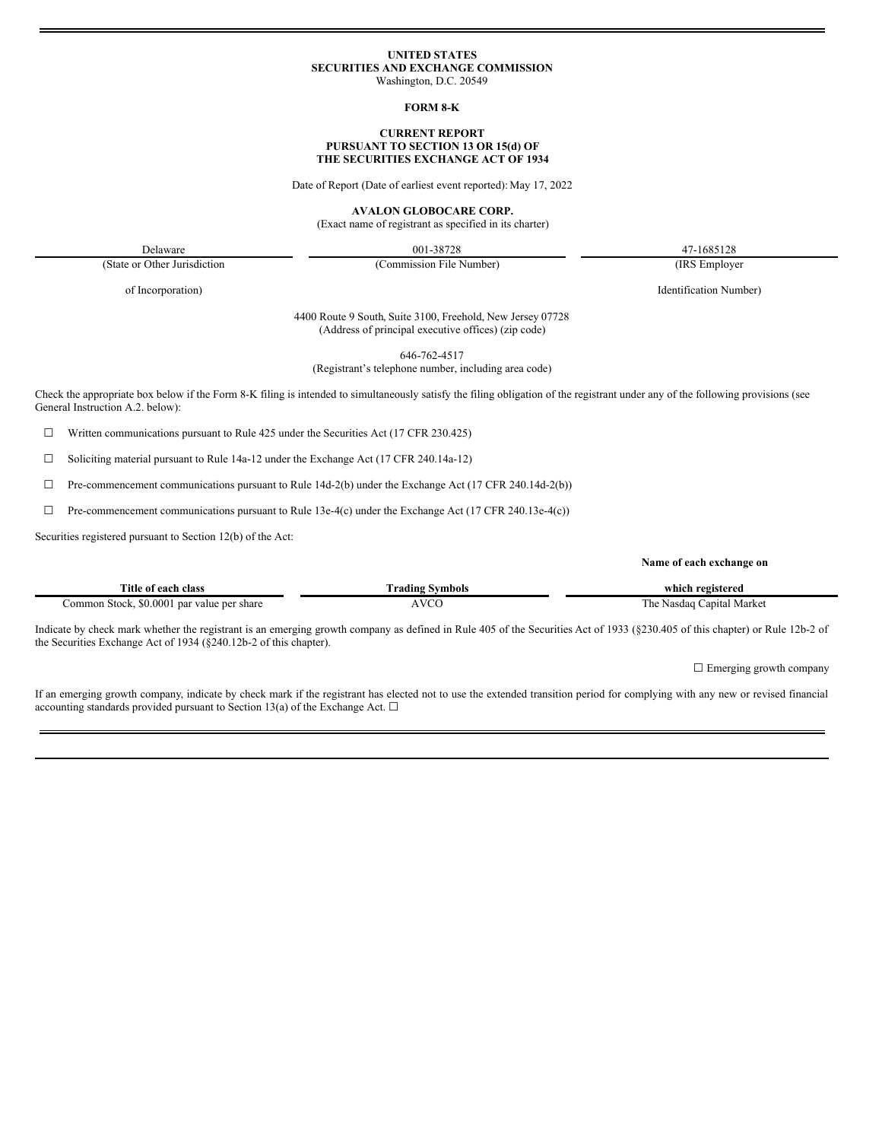## **UNITED STATES SECURITIES AND EXCHANGE COMMISSION**

Washington, D.C. 20549

#### **FORM 8-K**

#### **CURRENT REPORT PURSUANT TO SECTION 13 OR 15(d) OF THE SECURITIES EXCHANGE ACT OF 1934**

Date of Report (Date of earliest event reported): May 17, 2022

**AVALON GLOBOCARE CORP.**

(Exact name of registrant as specified in its charter)

Delaware 001-38728 47-1685128 (Commission File Number) (IRS Employer

(State or Other Jurisdiction

of Incorporation)

Identification Number)

**Name of each exchange on**

4400 Route 9 South, Suite 3100, Freehold, New Jersey 07728 (Address of principal executive offices) (zip code)

646-762-4517

(Registrant's telephone number, including area code)

Check the appropriate box below if the Form 8-K filing is intended to simultaneously satisfy the filing obligation of the registrant under any of the following provisions (see General Instruction A.2. below):

 $\Box$  Written communications pursuant to Rule 425 under the Securities Act (17 CFR 230.425)

☐ Soliciting material pursuant to Rule 14a-12 under the Exchange Act (17 CFR 240.14a-12)

 $\Box$  Pre-commencement communications pursuant to Rule 14d-2(b) under the Exchange Act (17 CFR 240.14d-2(b))

 $\Box$  Pre-commencement communications pursuant to Rule 13e-4(c) under the Exchange Act (17 CFR 240.13e-4(c))

Securities registered pursuant to Section 12(b) of the Act:

| Title of each class                                 | m<br>rading Symbols) | which registered                 |
|-----------------------------------------------------|----------------------|----------------------------------|
| \$0.000<br>1 Stock<br>`ommon<br>par value per share | <b>VCC</b>           | Capital Market<br>ı he<br>Nasdag |

Indicate by check mark whether the registrant is an emerging growth company as defined in Rule 405 of the Securities Act of 1933 (§230.405 of this chapter) or Rule 12b-2 of the Securities Exchange Act of 1934 (§240.12b-2 of this chapter).

□ Emerging growth company

If an emerging growth company, indicate by check mark if the registrant has elected not to use the extended transition period for complying with any new or revised financial accounting standards provided pursuant to Section 13(a) of the Exchange Act.  $\Box$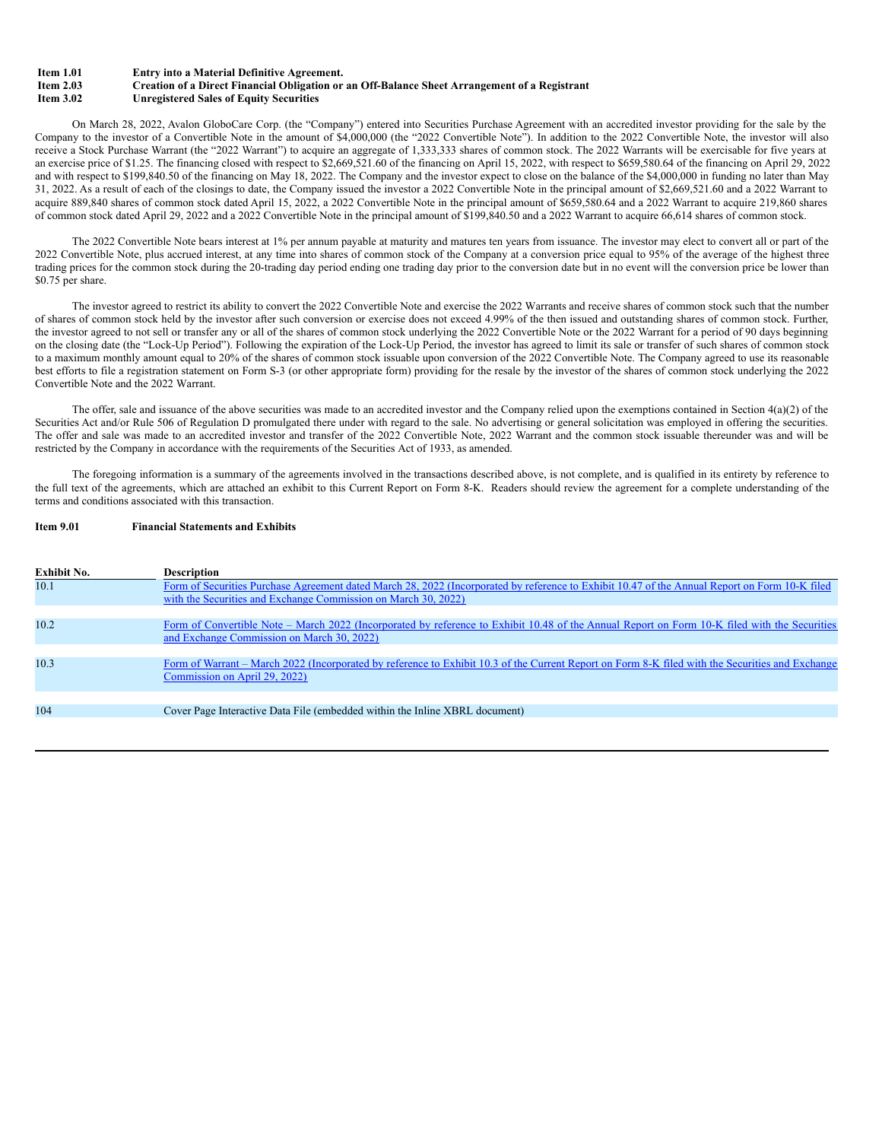#### **Item 1.01 Entry into a Material Definitive Agreement.**

**Item 2.03 Creation of a Direct Financial Obligation or an Off-Balance Sheet Arrangement of a Registrant Item 3.02 Unregistered Sales of Equity Securities**

On March 28, 2022, Avalon GloboCare Corp. (the "Company") entered into Securities Purchase Agreement with an accredited investor providing for the sale by the Company to the investor of a Convertible Note in the amount of \$4,000,000 (the "2022 Convertible Note"). In addition to the 2022 Convertible Note, the investor will also receive a Stock Purchase Warrant (the "2022 Warrant") to acquire an aggregate of 1,333,333 shares of common stock. The 2022 Warrants will be exercisable for five years at an exercise price of \$1.25. The financing closed with respect to \$2,669,521.60 of the financing on April 15, 2022, with respect to \$659,580.64 of the financing on April 29, 2022 and with respect to \$199,840.50 of the financing on May 18, 2022. The Company and the investor expect to close on the balance of the \$4,000,000 in funding no later than May 31, 2022. As a result of each of the closings to date, the Company issued the investor a 2022 Convertible Note in the principal amount of \$2,669,521.60 and a 2022 Warrant to acquire 889,840 shares of common stock dated April 15, 2022, a 2022 Convertible Note in the principal amount of \$659,580.64 and a 2022 Warrant to acquire 219,860 shares of common stock dated April 29, 2022 and a 2022 Convertible Note in the principal amount of \$199,840.50 and a 2022 Warrant to acquire 66,614 shares of common stock.

The 2022 Convertible Note bears interest at 1% per annum payable at maturity and matures ten years from issuance. The investor may elect to convert all or part of the 2022 Convertible Note, plus accrued interest, at any time into shares of common stock of the Company at a conversion price equal to 95% of the average of the highest three trading prices for the common stock during the 20-trading day period ending one trading day prior to the conversion date but in no event will the conversion price be lower than \$0.75 per share.

The investor agreed to restrict its ability to convert the 2022 Convertible Note and exercise the 2022 Warrants and receive shares of common stock such that the number of shares of common stock held by the investor after such conversion or exercise does not exceed 4.99% of the then issued and outstanding shares of common stock. Further, the investor agreed to not sell or transfer any or all of the shares of common stock underlying the 2022 Convertible Note or the 2022 Warrant for a period of 90 days beginning on the closing date (the "Lock-Up Period"). Following the expiration of the Lock-Up Period, the investor has agreed to limit its sale or transfer of such shares of common stock to a maximum monthly amount equal to 20% of the shares of common stock issuable upon conversion of the 2022 Convertible Note. The Company agreed to use its reasonable best efforts to file a registration statement on Form S-3 (or other appropriate form) providing for the resale by the investor of the shares of common stock underlying the 2022 Convertible Note and the 2022 Warrant.

The offer, sale and issuance of the above securities was made to an accredited investor and the Company relied upon the exemptions contained in Section 4(a)(2) of the Securities Act and/or Rule 506 of Regulation D promulgated there under with regard to the sale. No advertising or general solicitation was employed in offering the securities. The offer and sale was made to an accredited investor and transfer of the 2022 Convertible Note, 2022 Warrant and the common stock issuable thereunder was and will be restricted by the Company in accordance with the requirements of the Securities Act of 1933, as amended.

The foregoing information is a summary of the agreements involved in the transactions described above, is not complete, and is qualified in its entirety by reference to the full text of the agreements, which are attached an exhibit to this Current Report on Form 8-K. Readers should review the agreement for a complete understanding of the terms and conditions associated with this transaction.

#### **Item 9.01 Financial Statements and Exhibits**

| <b>Exhibit No.</b> | <b>Description</b>                                                                                                                               |
|--------------------|--------------------------------------------------------------------------------------------------------------------------------------------------|
| 10.1               | Form of Securities Purchase Agreement dated March 28, 2022 (Incorporated by reference to Exhibit 10.47 of the Annual Report on Form 10-K filed   |
|                    | with the Securities and Exchange Commission on March 30, 2022)                                                                                   |
| 10.2               | Form of Convertible Note – March 2022 (Incorporated by reference to Exhibit 10.48 of the Annual Report on Form 10-K filed with the Securities    |
|                    | and Exchange Commission on March 30, 2022)                                                                                                       |
| 10.3               | Form of Warrant – March 2022 (Incorporated by reference to Exhibit 10.3 of the Current Report on Form 8-K filed with the Securities and Exchange |
|                    | Commission on April 29, 2022)                                                                                                                    |
|                    |                                                                                                                                                  |
| 104                | Cover Page Interactive Data File (embedded within the Inline XBRL document)                                                                      |
|                    |                                                                                                                                                  |